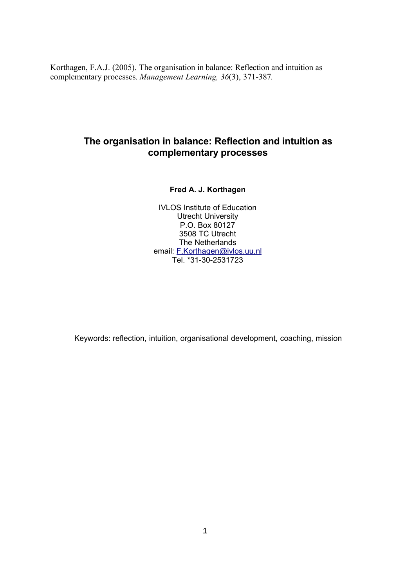Korthagen, F.A.J. (2005). The organisation in balance: Reflection and intuition as complementary processes. *Management Learning, 36*(3), 371-387*.*

# **The organisation in balance: Reflection and intuition as complementary processes**

# **Fred A. J. Korthagen**

IVLOS Institute of Education Utrecht University P.O. Box 80127 3508 TC Utrecht The Netherlands email: F.Korthagen@ivlos.uu.nl Tel. \*31-30-2531723

Keywords: reflection, intuition, organisational development, coaching, mission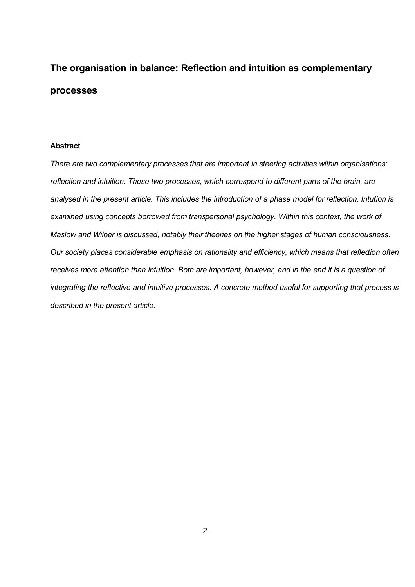# **The organisation in balance: Reflection and intuition as complementary processes**

# **Abstract**

*There are two complementary processes that are important in steering activities within organisations: reflection and intuition. These two processes, which correspond to different parts of the brain, are analysed in the present article. This includes the introduction of a phase model for reflection. Intuition is examined using concepts borrowed from transpersonal psychology. Within this context, the work of Maslow and Wilber is discussed, notably their theories on the higher stages of human consciousness. Our society places considerable emphasis on rationality and efficiency, which means that reflection often receives more attention than intuition. Both are important, however, and in the end it is a question of integrating the reflective and intuitive processes. A concrete method useful for supporting that process is described in the present article.*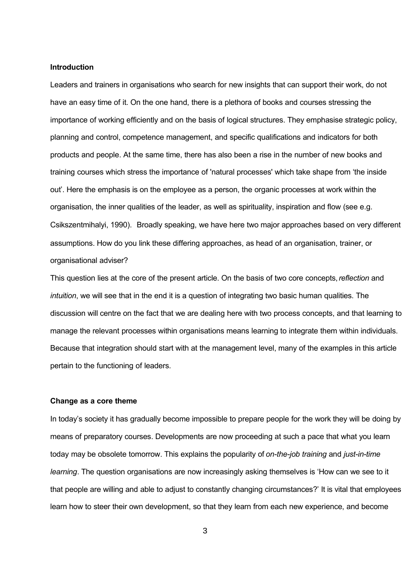#### **Introduction**

Leaders and trainers in organisations who search for new insights that can support their work, do not have an easy time of it. On the one hand, there is a plethora of books and courses stressing the importance of working efficiently and on the basis of logical structures. They emphasise strategic policy, planning and control, competence management, and specific qualifications and indicators for both products and people. At the same time, there has also been a rise in the number of new books and training courses which stress the importance of 'natural processes' which take shape from 'the inside out'. Here the emphasis is on the employee as a person, the organic processes at work within the organisation, the inner qualities of the leader, as well as spirituality, inspiration and flow (see e.g. Csikszentmihalyi, 1990). Broadly speaking, we have here two major approaches based on very different assumptions. How do you link these differing approaches, as head of an organisation, trainer, or organisational adviser?

This question lies at the core of the present article. On the basis of two core concepts,*reflection* and *intuition*, we will see that in the end it is a question of integrating two basic human qualities. The discussion will centre on the fact that we are dealing here with two process concepts, and that learning to manage the relevant processes within organisations means learning to integrate them within individuals. Because that integration should start with at the management level, many of the examples in this article pertain to the functioning of leaders.

#### **Change as a core theme**

In today's society it has gradually become impossible to prepare people for the work they will be doing by means of preparatory courses. Developments are now proceeding at such a pace that what you learn today may be obsolete tomorrow. This explains the popularity of *on-the-job training* and *just-in-time learning*. The question organisations are now increasingly asking themselves is 'How can we see to it that people are willing and able to adjust to constantly changing circumstances?' It is vital that employees learn how to steer their own development, so that they learn from each new experience, and become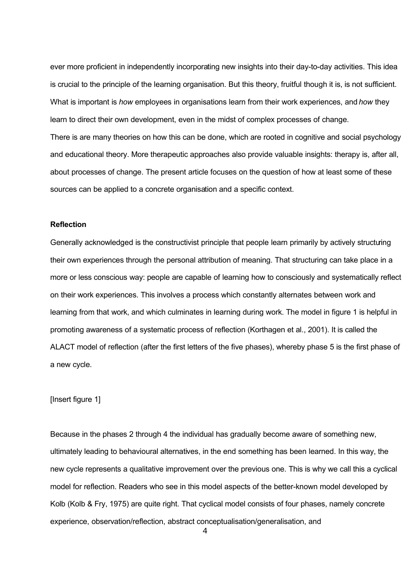ever more proficient in independently incorporating new insights into their day-to-day activities. This idea is crucial to the principle of the learning organisation. But this theory, fruitful though it is, is not sufficient. What is important is *how* employees in organisations learn from their work experiences, and *how* they learn to direct their own development, even in the midst of complex processes of change. There is are many theories on how this can be done, which are rooted in cognitive and social psychology and educational theory. More therapeutic approaches also provide valuable insights: therapy is, after all, about processes of change. The present article focuses on the question of how at least some of these sources can be applied to a concrete organisation and a specific context.

# **Reflection**

Generally acknowledged is the constructivist principle that people learn primarily by actively structuring their own experiences through the personal attribution of meaning. That structuring can take place in a more or less conscious way: people are capable of learning how to consciously and systematically reflect on their work experiences. This involves a process which constantly alternates between work and learning from that work, and which culminates in learning during work. The model in figure 1 is helpful in promoting awareness of a systematic process of reflection (Korthagen et al., 2001). It is called the ALACT model of reflection (after the first letters of the five phases), whereby phase 5 is the first phase of a new cycle.

#### [Insert figure 1]

Because in the phases 2 through 4 the individual has gradually become aware of something new, ultimately leading to behavioural alternatives, in the end something has been learned. In this way, the new cycle represents a qualitative improvement over the previous one. This is why we call this a cyclical model for reflection. Readers who see in this model aspects of the better-known model developed by Kolb (Kolb & Fry, 1975) are quite right. That cyclical model consists of four phases, namely concrete experience, observation/reflection, abstract conceptualisation/generalisation, and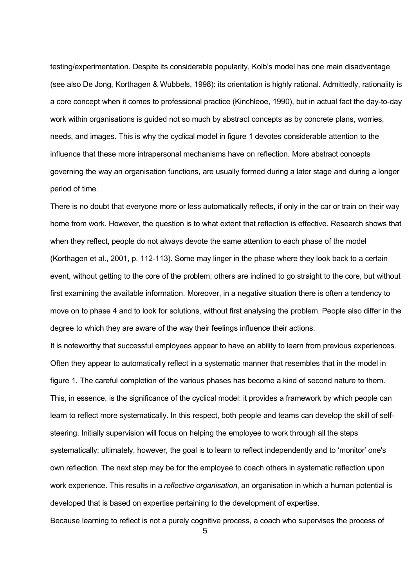testing/experimentation. Despite its considerable popularity, Kolb's model has one main disadvantage (see also De Jong, Korthagen & Wubbels, 1998): its orientation is highly rational. Admittedly, rationality is a core concept when it comes to professional practice (Kinchleoe, 1990), but in actual fact the day-to-day work within organisations is guided not so much by abstract concepts as by concrete plans, worries, needs, and images. This is why the cyclical model in figure 1 devotes considerable attention to the influence that these more intrapersonal mechanisms have on reflection. More abstract concepts governing the way an organisation functions, are usually formed during a later stage and during a longer period of time.

There is no doubt that everyone more or less automatically reflects, if only in the car or train on their way home from work. However, the question is to what extent that reflection is effective. Research shows that when they reflect, people do not always devote the same attention to each phase of the model (Korthagen et al., 2001, p. 112-113). Some may linger in the phase where they look back to a certain event, without getting to the core of the problem; others are inclined to go straight to the core, but without first examining the available information. Moreover, in a negative situation there is often a tendency to move on to phase 4 and to look for solutions, without first analysing the problem. People also differ in the degree to which they are aware of the way their feelings influence their actions.

It is noteworthy that successful employees appear to have an ability to learn from previous experiences. Often they appear to automatically reflect in a systematic manner that resembles that in the model in figure 1. The careful completion of the various phases has become a kind of second nature to them. This, in essence, is the significance of the cyclical model: it provides a framework by which people can learn to reflect more systematically. In this respect, both people and teams can develop the skill of selfsteering. Initially supervision will focus on helping the employee to work through all the steps systematically; ultimately, however, the goal is to learn to reflect independently and to 'monitor' one's own reflection. The next step may be for the employee to coach others in systematic reflection upon work experience. This results in a *reflective organisation*, an organisation in which a human potential is developed that is based on expertise pertaining to the development of expertise.

Because learning to reflect is not a purely cognitive process, a coach who supervises the process of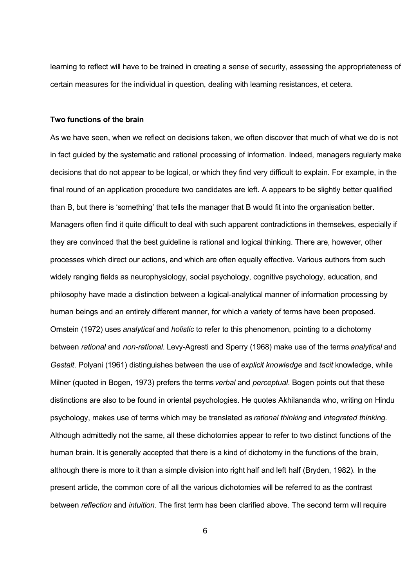learning to reflect will have to be trained in creating a sense of security, assessing the appropriateness of certain measures for the individual in question, dealing with learning resistances, et cetera.

#### **Two functions of the brain**

As we have seen, when we reflect on decisions taken, we often discover that much of what we do is not in fact guided by the systematic and rational processing of information. Indeed, managers regularly make decisions that do not appear to be logical, or which they find very difficult to explain. For example, in the final round of an application procedure two candidates are left. A appears to be slightly better qualified than B, but there is 'something' that tells the manager that B would fit into the organisation better. Managers often find it quite difficult to deal with such apparent contradictions in themselves, especially if they are convinced that the best guideline is rational and logical thinking. There are, however, other processes which direct our actions, and which are often equally effective. Various authors from such widely ranging fields as neurophysiology, social psychology, cognitive psychology, education, and philosophy have made a distinction between a logical-analytical manner of information processing by human beings and an entirely different manner, for which a variety of terms have been proposed. Ornstein (1972) uses *analytical* and *holistic* to refer to this phenomenon, pointing to a dichotomy between *rational* and *non-rational*. Levy-Agresti and Sperry (1968) make use of the terms *analytical* and *Gestalt*. Polyani (1961) distinguishes between the use of *explicit knowledge* and *tacit* knowledge, while Milner (quoted in Bogen, 1973) prefers the terms *verbal* and *perceptual*. Bogen points out that these distinctions are also to be found in oriental psychologies. He quotes Akhilananda who, writing on Hindu psychology, makes use of terms which may be translated as *rational thinking* and *integrated thinking*. Although admittedly not the same, all these dichotomies appear to refer to two distinct functions of the human brain. It is generally accepted that there is a kind of dichotomy in the functions of the brain, although there is more to it than a simple division into right half and left half (Bryden, 1982). In the present article, the common core of all the various dichotomies will be referred to as the contrast between *reflection* and *intuition*. The first term has been clarified above. The second term will require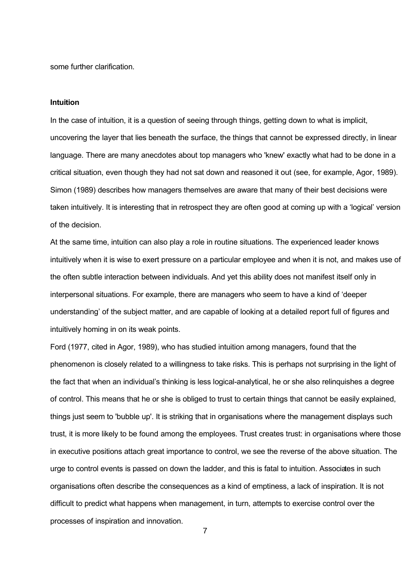some further clarification.

#### **Intuition**

In the case of intuition, it is a question of seeing through things, getting down to what is implicit, uncovering the layer that lies beneath the surface, the things that cannot be expressed directly, in linear language. There are many anecdotes about top managers who 'knew' exactly what had to be done in a critical situation, even though they had not sat down and reasoned it out (see, for example, Agor, 1989). Simon (1989) describes how managers themselves are aware that many of their best decisions were taken intuitively. It is interesting that in retrospect they are often good at coming up with a 'logical' version of the decision.

At the same time, intuition can also play a role in routine situations. The experienced leader knows intuitively when it is wise to exert pressure on a particular employee and when it is not, and makes use of the often subtle interaction between individuals. And yet this ability does not manifest itself only in interpersonal situations. For example, there are managers who seem to have a kind of 'deeper understanding' of the subject matter, and are capable of looking at a detailed report full of figures and intuitively homing in on its weak points.

Ford (1977, cited in Agor, 1989), who has studied intuition among managers, found that the phenomenon is closely related to a willingness to take risks. This is perhaps not surprising in the light of the fact that when an individual's thinking is less logical-analytical, he or she also relinquishes a degree of control. This means that he or she is obliged to trust to certain things that cannot be easily explained, things just seem to 'bubble up'. It is striking that in organisations where the management displays such trust, it is more likely to be found among the employees. Trust creates trust: in organisations where those in executive positions attach great importance to control, we see the reverse of the above situation. The urge to control events is passed on down the ladder, and this is fatal to intuition. Associates in such organisations often describe the consequences as a kind of emptiness, a lack of inspiration. It is not difficult to predict what happens when management, in turn, attempts to exercise control over the processes of inspiration and innovation.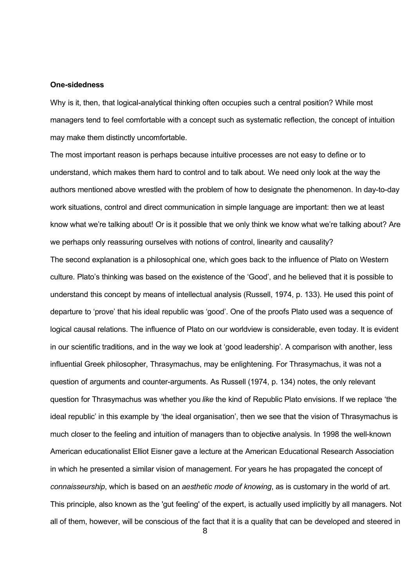#### **One-sidedness**

Why is it, then, that logical-analytical thinking often occupies such a central position? While most managers tend to feel comfortable with a concept such as systematic reflection, the concept of intuition may make them distinctly uncomfortable.

The most important reason is perhaps because intuitive processes are not easy to define or to understand, which makes them hard to control and to talk about. We need only look at the way the authors mentioned above wrestled with the problem of how to designate the phenomenon. In day-to-day work situations, control and direct communication in simple language are important: then we at least know what we're talking about! Or is it possible that we only think we know what we're talking about? Are we perhaps only reassuring ourselves with notions of control, linearity and causality?

The second explanation is a philosophical one, which goes back to the influence of Plato on Western culture. Plato's thinking was based on the existence of the 'Good', and he believed that it is possible to understand this concept by means of intellectual analysis (Russell, 1974, p. 133). He used this point of departure to 'prove' that his ideal republic was 'good'. One of the proofs Plato used was a sequence of logical causal relations. The influence of Plato on our worldview is considerable, even today. It is evident in our scientific traditions, and in the way we look at 'good leadership'. A comparison with another, less influential Greek philosopher, Thrasymachus, may be enlightening. For Thrasymachus, it was not a question of arguments and counter-arguments. As Russell (1974, p. 134) notes, the only relevant question for Thrasymachus was whether you *like* the kind of Republic Plato envisions. If we replace 'the ideal republic' in this example by 'the ideal organisation', then we see that the vision of Thrasymachus is much closer to the feeling and intuition of managers than to objective analysis. In 1998 the well-known American educationalist Elliot Eisner gave a lecture at the American Educational Research Association in which he presented a similar vision of management. For years he has propagated the concept of *connaisseurship*, which is based on an *aesthetic mode of knowing*, as is customary in the world of art. This principle, also known as the 'gut feeling' of the expert, is actually used implicitly by all managers. Not all of them, however, will be conscious of the fact that it is a quality that can be developed and steered in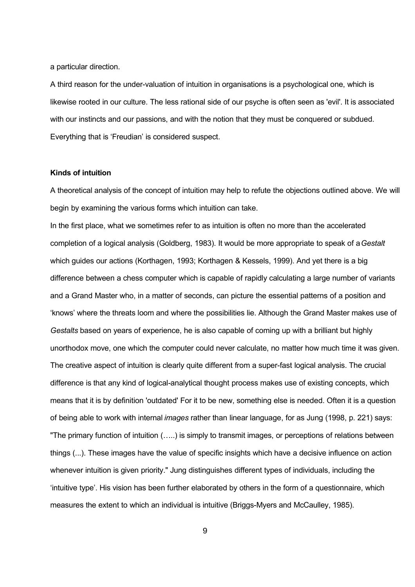a particular direction.

A third reason for the under-valuation of intuition in organisations is a psychological one, which is likewise rooted in our culture. The less rational side of our psyche is often seen as 'evil'. It is associated with our instincts and our passions, and with the notion that they must be conquered or subdued. Everything that is 'Freudian' is considered suspect.

# **Kinds of intuition**

A theoretical analysis of the concept of intuition may help to refute the objections outlined above. We will begin by examining the various forms which intuition can take.

In the first place, what we sometimes refer to as intuition is often no more than the accelerated completion of a logical analysis (Goldberg, 1983). It would be more appropriate to speak of a *Gestalt* which guides our actions (Korthagen, 1993; Korthagen & Kessels, 1999). And yet there is a big difference between a chess computer which is capable of rapidly calculating a large number of variants and a Grand Master who, in a matter of seconds, can picture the essential patterns of a position and 'knows' where the threats loom and where the possibilities lie. Although the Grand Master makes use of *Gestalts* based on years of experience, he is also capable of coming up with a brilliant but highly unorthodox move, one which the computer could never calculate, no matter how much time it was given. The creative aspect of intuition is clearly quite different from a super-fast logical analysis. The crucial difference is that any kind of logical-analytical thought process makes use of existing concepts, which means that it is by definition 'outdated' For it to be new, something else is needed. Often it is a question of being able to work with internal *images* rather than linear language, for as Jung (1998, p. 221) says: "The primary function of intuition (…..) is simply to transmit images, or perceptions of relations between things (...). These images have the value of specific insights which have a decisive influence on action whenever intuition is given priority." Jung distinguishes different types of individuals, including the 'intuitive type'. His vision has been further elaborated by others in the form of a questionnaire, which measures the extent to which an individual is intuitive (Briggs-Myers and McCaulley, 1985).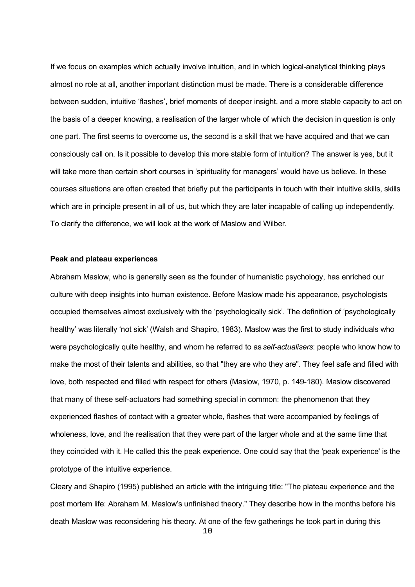If we focus on examples which actually involve intuition, and in which logical-analytical thinking plays almost no role at all, another important distinction must be made. There is a considerable difference between sudden, intuitive 'flashes', brief moments of deeper insight, and a more stable capacity to act on the basis of a deeper knowing, a realisation of the larger whole of which the decision in question is only one part. The first seems to overcome us, the second is a skill that we have acquired and that we can consciously call on. Is it possible to develop this more stable form of intuition? The answer is yes, but it will take more than certain short courses in 'spirituality for managers' would have us believe. In these courses situations are often created that briefly put the participants in touch with their intuitive skills, skills which are in principle present in all of us, but which they are later incapable of calling up independently. To clarify the difference, we will look at the work of Maslow and Wilber.

#### **Peak and plateau experiences**

Abraham Maslow, who is generally seen as the founder of humanistic psychology, has enriched our culture with deep insights into human existence. Before Maslow made his appearance, psychologists occupied themselves almost exclusively with the 'psychologically sick'. The definition of 'psychologically healthy' was literally 'not sick' (Walsh and Shapiro, 1983). Maslow was the first to study individuals who were psychologically quite healthy, and whom he referred to as *self-actualisers*: people who know how to make the most of their talents and abilities, so that "they are who they are". They feel safe and filled with love, both respected and filled with respect for others (Maslow, 1970, p. 149-180). Maslow discovered that many of these self-actuators had something special in common: the phenomenon that they experienced flashes of contact with a greater whole, flashes that were accompanied by feelings of wholeness, love, and the realisation that they were part of the larger whole and at the same time that they coincided with it. He called this the peak experience. One could say that the 'peak experience' is the prototype of the intuitive experience.

Cleary and Shapiro (1995) published an article with the intriguing title: "The plateau experience and the post mortem life: Abraham M. Maslow's unfinished theory." They describe how in the months before his death Maslow was reconsidering his theory. At one of the few gatherings he took part in during this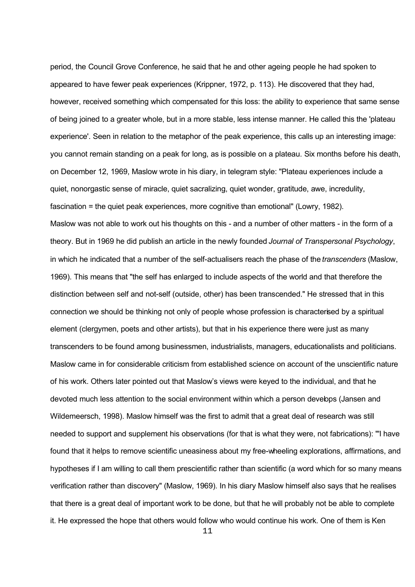period, the Council Grove Conference, he said that he and other ageing people he had spoken to appeared to have fewer peak experiences (Krippner, 1972, p. 113). He discovered that they had, however, received something which compensated for this loss: the ability to experience that same sense of being joined to a greater whole, but in a more stable, less intense manner. He called this the 'plateau experience'. Seen in relation to the metaphor of the peak experience, this calls up an interesting image: you cannot remain standing on a peak for long, as is possible on a plateau. Six months before his death, on December 12, 1969, Maslow wrote in his diary, in telegram style: "Plateau experiences include a quiet, nonorgastic sense of miracle, quiet sacralizing, quiet wonder, gratitude, awe, incredulity, fascination = the quiet peak experiences, more cognitive than emotional" (Lowry, 1982). Maslow was not able to work out his thoughts on this - and a number of other matters - in the form of a theory. But in 1969 he did publish an article in the newly founded *Journal of Transpersonal Psychology*, in which he indicated that a number of the self-actualisers reach the phase of the *transcenders* (Maslow, 1969). This means that "the self has enlarged to include aspects of the world and that therefore the distinction between self and not-self (outside, other) has been transcended." He stressed that in this connection we should be thinking not only of people whose profession is characterised by a spiritual element (clergymen, poets and other artists), but that in his experience there were just as many transcenders to be found among businessmen, industrialists, managers, educationalists and politicians. Maslow came in for considerable criticism from established science on account of the unscientific nature of his work. Others later pointed out that Maslow's views were keyed to the individual, and that he devoted much less attention to the social environment within which a person develops (Jansen and Wildemeersch, 1998). Maslow himself was the first to admit that a great deal of research was still needed to support and supplement his observations (for that is what they were, not fabrications): "'I have found that it helps to remove scientific uneasiness about my free-wheeling explorations, affirmations, and hypotheses if I am willing to call them prescientific rather than scientific (a word which for so many means verification rather than discovery" (Maslow, 1969). In his diary Maslow himself also says that he realises that there is a great deal of important work to be done, but that he will probably not be able to complete it. He expressed the hope that others would follow who would continue his work. One of them is Ken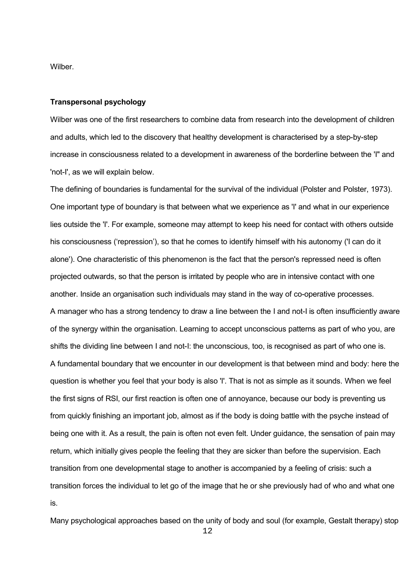Wilber.

#### **Transpersonal psychology**

Wilber was one of the first researchers to combine data from research into the development of children and adults, which led to the discovery that healthy development is characterised by a step-by-step increase in consciousness related to a development in awareness of the borderline between the 'I" and 'not-I', as we will explain below.

The defining of boundaries is fundamental for the survival of the individual (Polster and Polster, 1973). One important type of boundary is that between what we experience as 'I' and what in our experience lies outside the 'I'. For example, someone may attempt to keep his need for contact with others outside his consciousness ('repression'), so that he comes to identify himself with his autonomy ('I can do it alone'). One characteristic of this phenomenon is the fact that the person's repressed need is often projected outwards, so that the person is irritated by people who are in intensive contact with one another. Inside an organisation such individuals may stand in the way of co-operative processes. A manager who has a strong tendency to draw a line between the I and not-I is often insufficiently aware of the synergy within the organisation. Learning to accept unconscious patterns as part of who you, are shifts the dividing line between I and not-I: the unconscious, too, is recognised as part of who one is. A fundamental boundary that we encounter in our development is that between mind and body: here the question is whether you feel that your body is also 'I'. That is not as simple as it sounds. When we feel the first signs of RSI, our first reaction is often one of annoyance, because our body is preventing us from quickly finishing an important job, almost as if the body is doing battle with the psyche instead of being one with it. As a result, the pain is often not even felt. Under guidance, the sensation of pain may return, which initially gives people the feeling that they are sicker than before the supervision. Each transition from one developmental stage to another is accompanied by a feeling of crisis: such a transition forces the individual to let go of the image that he or she previously had of who and what one is.

Many psychological approaches based on the unity of body and soul (for example, Gestalt therapy) stop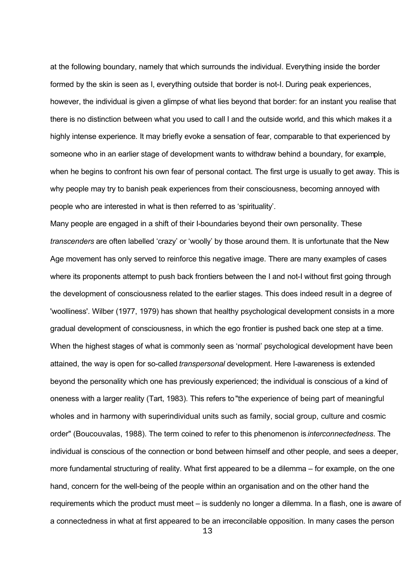at the following boundary, namely that which surrounds the individual. Everything inside the border formed by the skin is seen as I, everything outside that border is not-I. During peak experiences, however, the individual is given a glimpse of what lies beyond that border: for an instant you realise that there is no distinction between what you used to call I and the outside world, and this which makes it a highly intense experience. It may briefly evoke a sensation of fear, comparable to that experienced by someone who in an earlier stage of development wants to withdraw behind a boundary, for example, when he begins to confront his own fear of personal contact. The first urge is usually to get away. This is why people may try to banish peak experiences from their consciousness, becoming annoyed with people who are interested in what is then referred to as 'spirituality'.

Many people are engaged in a shift of their I-boundaries beyond their own personality. These *transcenders* are often labelled 'crazy' or 'woolly' by those around them. It is unfortunate that the New Age movement has only served to reinforce this negative image. There are many examples of cases where its proponents attempt to push back frontiers between the I and not-I without first going through the development of consciousness related to the earlier stages. This does indeed result in a degree of 'woolliness'. Wilber (1977, 1979) has shown that healthy psychological development consists in a more gradual development of consciousness, in which the ego frontier is pushed back one step at a time. When the highest stages of what is commonly seen as 'normal' psychological development have been attained, the way is open for so-called *transpersonal* development. Here I-awareness is extended beyond the personality which one has previously experienced; the individual is conscious of a kind of oneness with a larger reality (Tart, 1983). This refers to "the experience of being part of meaningful wholes and in harmony with superindividual units such as family, social group, culture and cosmic order" (Boucouvalas, 1988). The term coined to refer to this phenomenon is *interconnectedness*. The individual is conscious of the connection or bond between himself and other people, and sees a deeper, more fundamental structuring of reality. What first appeared to be a dilemma – for example, on the one hand, concern for the well-being of the people within an organisation and on the other hand the requirements which the product must meet – is suddenly no longer a dilemma. In a flash, one is aware of a connectedness in what at first appeared to be an irreconcilable opposition. In many cases the person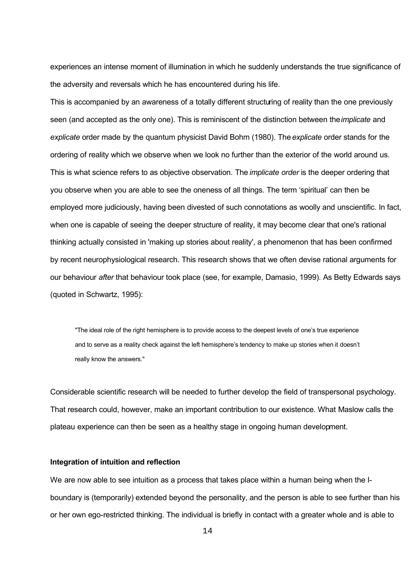experiences an intense moment of illumination in which he suddenly understands the true significance of the adversity and reversals which he has encountered during his life.

This is accompanied by an awareness of a totally different structuring of reality than the one previously seen (and accepted as the only one). This is reminiscent of the distinction between the *implicate* and *explicate* order made by the quantum physicist David Bohm (1980). The *explicate* order stands for the ordering of reality which we observe when we look no further than the exterior of the world around us. This is what science refers to as objective observation. The *implicate order* is the deeper ordering that you observe when you are able to see the oneness of all things. The term 'spiritual' can then be employed more judiciously, having been divested of such connotations as woolly and unscientific. In fact, when one is capable of seeing the deeper structure of reality, it may become clear that one's rational thinking actually consisted in 'making up stories about reality', a phenomenon that has been confirmed by recent neurophysiological research. This research shows that we often devise rational arguments for our behaviour *after* that behaviour took place (see, for example, Damasio, 1999). As Betty Edwards says (quoted in Schwartz, 1995):

"The ideal role of the right hemisphere is to provide access to the deepest levels of one's true experience and to serve as a reality check against the left hemisphere's tendency to make up stories when it doesn't really know the answers."

Considerable scientific research will be needed to further develop the field of transpersonal psychology. That research could, however, make an important contribution to our existence. What Maslow calls the plateau experience can then be seen as a healthy stage in ongoing human development.

# **Integration of intuition and reflection**

We are now able to see intuition as a process that takes place within a human being when the Iboundary is (temporarily) extended beyond the personality, and the person is able to see further than his or her own ego-restricted thinking. The individual is briefly in contact with a greater whole and is able to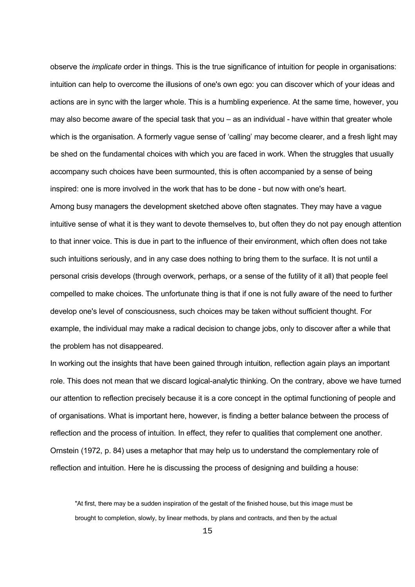observe the *implicate* order in things. This is the true significance of intuition for people in organisations: intuition can help to overcome the illusions of one's own ego: you can discover which of your ideas and actions are in sync with the larger whole. This is a humbling experience. At the same time, however, you may also become aware of the special task that you – as an individual - have within that greater whole which is the organisation. A formerly vague sense of 'calling' may become clearer, and a fresh light may be shed on the fundamental choices with which you are faced in work. When the struggles that usually accompany such choices have been surmounted, this is often accompanied by a sense of being inspired: one is more involved in the work that has to be done - but now with one's heart. Among busy managers the development sketched above often stagnates. They may have a vague intuitive sense of what it is they want to devote themselves to, but often they do not pay enough attention to that inner voice. This is due in part to the influence of their environment, which often does not take such intuitions seriously, and in any case does nothing to bring them to the surface. It is not until a personal crisis develops (through overwork, perhaps, or a sense of the futility of it all) that people feel compelled to make choices. The unfortunate thing is that if one is not fully aware of the need to further develop one's level of consciousness, such choices may be taken without sufficient thought. For example, the individual may make a radical decision to change jobs, only to discover after a while that the problem has not disappeared.

In working out the insights that have been gained through intuition, reflection again plays an important role. This does not mean that we discard logical-analytic thinking. On the contrary, above we have turned our attention to reflection precisely because it is a core concept in the optimal functioning of people and of organisations. What is important here, however, is finding a better balance between the process of reflection and the process of intuition. In effect, they refer to qualities that complement one another. Ornstein (1972, p. 84) uses a metaphor that may help us to understand the complementary role of reflection and intuition. Here he is discussing the process of designing and building a house:

"At first, there may be a sudden inspiration of the gestalt of the finished house, but this image must be brought to completion, slowly, by linear methods, by plans and contracts, and then by the actual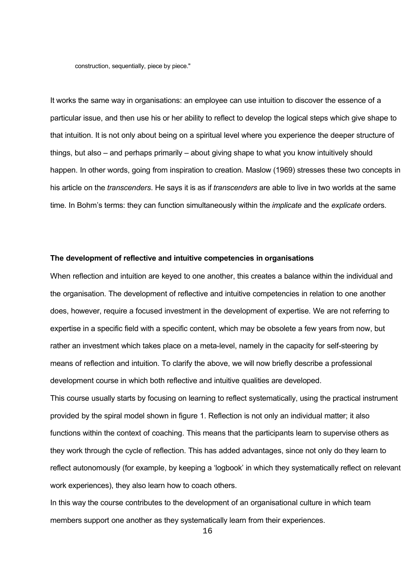construction, sequentially, piece by piece."

It works the same way in organisations: an employee can use intuition to discover the essence of a particular issue, and then use his or her ability to reflect to develop the logical steps which give shape to that intuition. It is not only about being on a spiritual level where you experience the deeper structure of things, but also – and perhaps primarily – about giving shape to what you know intuitively should happen. In other words, going from inspiration to creation. Maslow (1969) stresses these two concepts in his article on the *transcenders*. He says it is as if *transcenders* are able to live in two worlds at the same time. In Bohm's terms: they can function simultaneously within the *implicate* and the *explicate* orders.

#### **The development of reflective and intuitive competencies in organisations**

When reflection and intuition are keyed to one another, this creates a balance within the individual and the organisation. The development of reflective and intuitive competencies in relation to one another does, however, require a focused investment in the development of expertise. We are not referring to expertise in a specific field with a specific content, which may be obsolete a few years from now, but rather an investment which takes place on a meta-level, namely in the capacity for self-steering by means of reflection and intuition. To clarify the above, we will now briefly describe a professional development course in which both reflective and intuitive qualities are developed.

This course usually starts by focusing on learning to reflect systematically, using the practical instrument provided by the spiral model shown in figure 1. Reflection is not only an individual matter; it also functions within the context of coaching. This means that the participants learn to supervise others as they work through the cycle of reflection. This has added advantages, since not only do they learn to reflect autonomously (for example, by keeping a 'logbook' in which they systematically reflect on relevant work experiences), they also learn how to coach others.

In this way the course contributes to the development of an organisational culture in which team members support one another as they systematically learn from their experiences.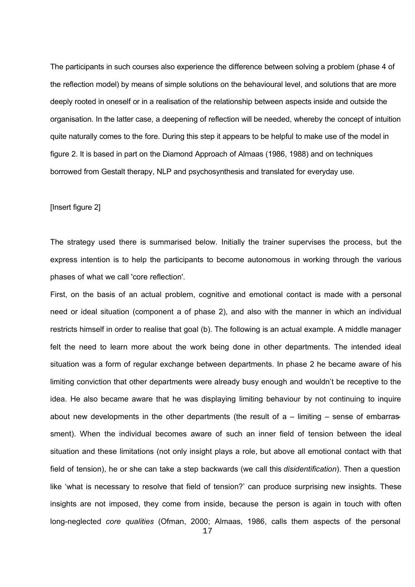The participants in such courses also experience the difference between solving a problem (phase 4 of the reflection model) by means of simple solutions on the behavioural level, and solutions that are more deeply rooted in oneself or in a realisation of the relationship between aspects inside and outside the organisation. In the latter case, a deepening of reflection will be needed, whereby the concept of intuition quite naturally comes to the fore. During this step it appears to be helpful to make use of the model in figure 2. It is based in part on the Diamond Approach of Almaas (1986, 1988) and on techniques borrowed from Gestalt therapy, NLP and psychosynthesis and translated for everyday use.

## [Insert figure 2]

The strategy used there is summarised below. Initially the trainer supervises the process, but the express intention is to help the participants to become autonomous in working through the various phases of what we call 'core reflection'.

First, on the basis of an actual problem, cognitive and emotional contact is made with a personal need or ideal situation (component a of phase 2), and also with the manner in which an individual restricts himself in order to realise that goal (b). The following is an actual example. A middle manager felt the need to learn more about the work being done in other departments. The intended ideal situation was a form of regular exchange between departments. In phase 2 he became aware of his limiting conviction that other departments were already busy enough and wouldn't be receptive to the idea. He also became aware that he was displaying limiting behaviour by not continuing to inquire about new developments in the other departments (the result of  $a$  – limiting – sense of embarrassment). When the individual becomes aware of such an inner field of tension between the ideal situation and these limitations (not only insight plays a role, but above all emotional contact with that field of tension), he or she can take a step backwards (we call this *disidentification*). Then a question like 'what is necessary to resolve that field of tension?' can produce surprising new insights. These insights are not imposed, they come from inside, because the person is again in touch with often long-neglected *core qualities* (Ofman, 2000; Almaas, 1986, calls them aspects of the personal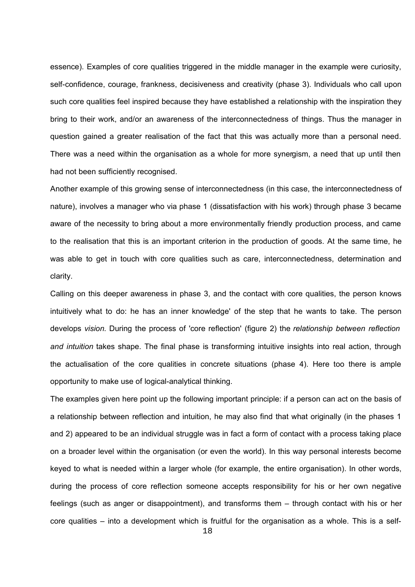essence). Examples of core qualities triggered in the middle manager in the example were curiosity, self-confidence, courage, frankness, decisiveness and creativity (phase 3). Individuals who call upon such core qualities feel inspired because they have established a relationship with the inspiration they bring to their work, and/or an awareness of the interconnectedness of things. Thus the manager in question gained a greater realisation of the fact that this was actually more than a personal need. There was a need within the organisation as a whole for more synergism, a need that up until then had not been sufficiently recognised.

Another example of this growing sense of interconnectedness (in this case, the interconnectedness of nature), involves a manager who via phase 1 (dissatisfaction with his work) through phase 3 became aware of the necessity to bring about a more environmentally friendly production process, and came to the realisation that this is an important criterion in the production of goods. At the same time, he was able to get in touch with core qualities such as care, interconnectedness, determination and clarity.

Calling on this deeper awareness in phase 3, and the contact with core qualities, the person knows intuitively what to do: he has an inner knowledge' of the step that he wants to take. The person develops *vision*. During the process of 'core reflection' (figure 2) the *relationship between reflection and intuition* takes shape. The final phase is transforming intuitive insights into real action, through the actualisation of the core qualities in concrete situations (phase 4). Here too there is ample opportunity to make use of logical-analytical thinking.

The examples given here point up the following important principle: if a person can act on the basis of a relationship between reflection and intuition, he may also find that what originally (in the phases 1 and 2) appeared to be an individual struggle was in fact a form of contact with a process taking place on a broader level within the organisation (or even the world). In this way personal interests become keyed to what is needed within a larger whole (for example, the entire organisation). In other words, during the process of core reflection someone accepts responsibility for his or her own negative feelings (such as anger or disappointment), and transforms them – through contact with his or her core qualities – into a development which is fruitful for the organisation as a whole. This is a self-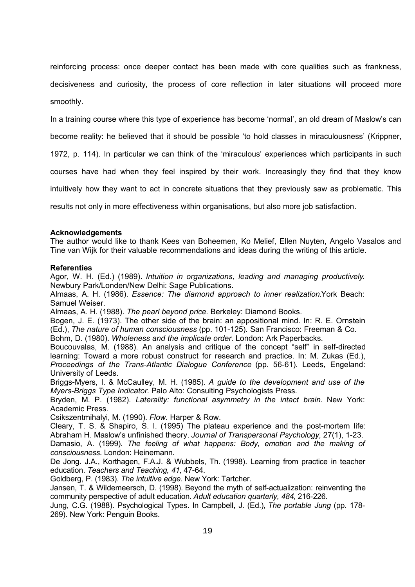reinforcing process: once deeper contact has been made with core qualities such as frankness, decisiveness and curiosity, the process of core reflection in later situations will proceed more smoothly.

In a training course where this type of experience has become 'normal', an old dream of Maslow's can become reality: he believed that it should be possible 'to hold classes in miraculousness' (Krippner,

1972, p. 114). In particular we can think of the 'miraculous' experiences which participants in such

courses have had when they feel inspired by their work. Increasingly they find that they know

intuitively how they want to act in concrete situations that they previously saw as problematic. This

results not only in more effectiveness within organisations, but also more job satisfaction.

#### **Acknowledgements**

The author would like to thank Kees van Boheemen, Ko Melief, Ellen Nuyten, Angelo Vasalos and Tine van Wijk for their valuable recommendations and ideas during the writing of this article.

#### **Referenties**

Agor, W. H. (Ed.) (1989). *Intuition in organizations, leading and managing productively*. Newbury Park/Londen/New Delhi: Sage Publications.

Almaas, A. H. (1986). *Essence: The diamond approach to inner realization.*York Beach: Samuel Weiser.

Almaas, A. H. (1988). *The pearl beyond price.* Berkeley: Diamond Books.

Bogen, J. E. (1973). The other side of the brain: an appositional mind. In: R. E. Ornstein (Ed.), *The nature of human consciousness* (pp. 101-125). San Francisco: Freeman & Co. Bohm, D. (1980). *Wholeness and the implicate order.* London: Ark Paperbacks.

Boucouvalas, M. (1988). An analysis and critique of the concept "self" in self-directed learning: Toward a more robust construct for research and practice. In: M. Zukas (Ed.), *Proceedings of the Trans-Atlantic Dialogue Conference* (pp. 56-61). Leeds, Engeland: University of Leeds.

Briggs-Myers, I. & McCaulley, M. H. (1985). *A guide to the development and use of the Myers-Briggs Type Indicator*. Palo Alto: Consulting Psychologists Press.

Bryden, M. P. (1982). *Laterality: functional asymmetry in the intact brain.* New York: Academic Press.

Csikszentmihalyi, M. (1990). *Flow.* Harper & Row.

Cleary, T. S. & Shapiro, S. I. (1995) The plateau experience and the post-mortem life: Abraham H. Maslow's unfinished theory. *Journal of Transpersonal Psychology,* 27(1), 1-23.

Damasio, A. (1999). *The feeling of what happens: Body, emotion and the making of consciousness.* London: Heinemann.

De Jong. J.A., Korthagen, F.A.J. & Wubbels, Th. (1998). Learning from practice in teacher education. *Teachers and Teaching, 41,* 47-64.

Goldberg, P. (1983). *The intuitive edge.* New York: Tartcher.

Jansen, T. & Wildemeersch, D. (1998). Beyond the myth of self-actualization: reinventing the community perspective of adult education. *Adult education quarterly, 484*, 216-226.

Jung, C.G. (1988). Psychological Types. In Campbell, J. (Ed.), *The portable Jung* (pp. 178- 269)*.* New York: Penguin Books.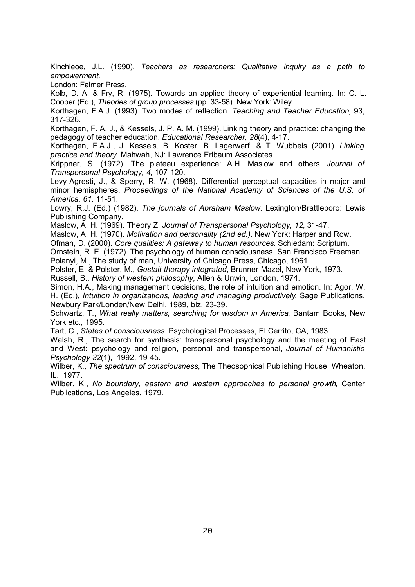Kinchleoe, J.L. (1990). *Teachers as researchers: Qualitative inquiry as a path to empowerment.*

London: Falmer Press.

Kolb, D. A. & Fry, R. (1975). Towards an applied theory of experiential learning. In: C. L. Cooper (Ed.), *Theories of group processes* (pp. 33-58). New York: Wiley.

Korthagen, F.A.J. (1993). Two modes of reflection. *Teaching and Teacher Education,* 93, 317-326.

Korthagen, F. A. J., & Kessels, J. P. A. M. (1999). Linking theory and practice: changing the pedagogy of teacher education. *Educational Researcher, 28*(4), 4-17.

Korthagen, F.A.J., J. Kessels, B. Koster, B. Lagerwerf, & T. Wubbels (2001). *Linking practice and theory.* Mahwah, NJ: Lawrence Erlbaum Associates.

Krippner, S. (1972). The plateau experience: A.H. Maslow and others. *Journal of Transpersonal Psychology, 4,* 107-120.

Levy-Agresti, J., & Sperry, R. W. (1968). Differential perceptual capacities in major and minor hemispheres. *Proceedings of the National Academy of Sciences of the U.S. of America, 61,* 11-51.

Lowry, R.J. (Ed.) (1982). *The journals of Abraham Maslow.* Lexington/Brattleboro: Lewis Publishing Company,

Maslow, A. H. (1969). Theory Z. *Journal of Transpersonal Psychology, 12,* 31-47.

Maslow, A. H. (1970). *Motivation and personality (2nd ed.)*. New York: Harper and Row.

Ofman, D. (2000). *Core qualities: A gateway to human resources.* Schiedam: Scriptum.

Ornstein, R. E. (1972). The psychology of human consciousness. San Francisco Freeman.

Polanyi, M., The study of man, University of Chicago Press, Chicago, 1961.

Polster, E. & Polster, M., *Gestalt therapy integrated*, Brunner-Mazel, New York, 1973.

Russell, B., *History of western philosophy,* Allen & Unwin, London, 1974.

Simon, H.A., Making management decisions, the role of intuition and emotion. In: Agor, W. H. (Ed.), *Intuition in organizations, leading and managing productively*, Sage Publications, Newbury Park/Londen/New Delhi, 1989, blz. 23-39.

Schwartz, T., *What really matters, searching for wisdom in America*, Bantam Books, New York etc., 1995.

Tart, C., *States of consciousness.* Psychological Processes, El Cerrito, CA, 1983.

Walsh, R., The search for synthesis: transpersonal psychology and the meeting of East and West: psychology and religion, personal and transpersonal, *Journal of Humanistic Psychology 32*(1), 1992, 19-45.

Wilber, K., *The spectrum of consciousness,* The Theosophical Publishing House, Wheaton, IL., 1977.

Wilber, K., *No boundary, eastern and western approaches to personal growth*, Center Publications, Los Angeles, 1979.